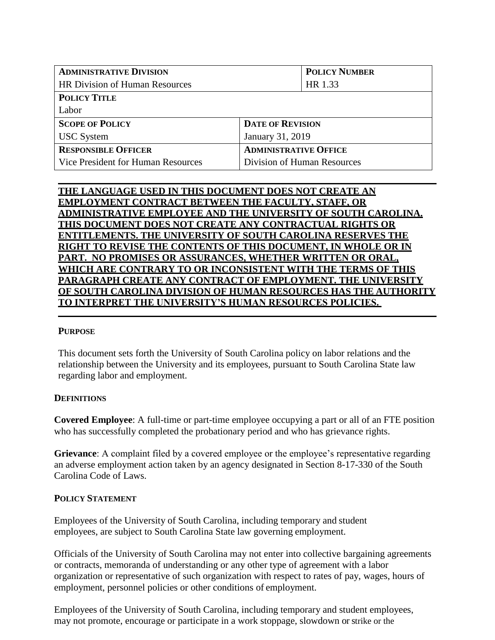| <b>ADMINISTRATIVE DIVISION</b>        | <b>POLICY NUMBER</b>         |
|---------------------------------------|------------------------------|
| <b>HR Division of Human Resources</b> | HR 1.33                      |
| <b>POLICY TITLE</b>                   |                              |
| Labor                                 |                              |
| <b>SCOPE OF POLICY</b>                | <b>DATE OF REVISION</b>      |
| <b>USC</b> System                     | January 31, 2019             |
| <b>RESPONSIBLE OFFICER</b>            | <b>ADMINISTRATIVE OFFICE</b> |
| Vice President for Human Resources    | Division of Human Resources  |

# **THE LANGUAGE USED IN THIS DOCUMENT DOES NOT CREATE AN EMPLOYMENT CONTRACT BETWEEN THE FACULTY, STAFF, OR ADMINISTRATIVE EMPLOYEE AND THE UNIVERSITY OF SOUTH CAROLINA. THIS DOCUMENT DOES NOT CREATE ANY CONTRACTUAL RIGHTS OR ENTITLEMENTS. THE UNIVERSITY OF SOUTH CAROLINA RESERVES THE RIGHT TO REVISE THE CONTENTS OF THIS DOCUMENT, IN WHOLE OR IN PART. NO PROMISES OR ASSURANCES, WHETHER WRITTEN OR ORAL, WHICH ARE CONTRARY TO OR INCONSISTENT WITH THE TERMS OF THIS PARAGRAPH CREATE ANY CONTRACT OF EMPLOYMENT. THE UNIVERSITY OF SOUTH CAROLINA DIVISION OF HUMAN RESOURCES HAS THE AUTHORITY TO INTERPRET THE UNIVERSITY'S HUMAN RESOURCES POLICIES.**

## **PURPOSE**

This document sets forth the University of South Carolina policy on labor relations and the relationship between the University and its employees, pursuant to South Carolina State law regarding labor and employment.

## **DEFINITIONS**

**Covered Employee**: A full-time or part-time employee occupying a part or all of an FTE position who has successfully completed the probationary period and who has grievance rights.

**Grievance**: A complaint filed by a covered employee or the employee's representative regarding an adverse employment action taken by an agency designated in Section 8-17-330 of the South Carolina Code of Laws.

#### **POLICY STATEMENT**

Employees of the University of South Carolina, including temporary and student employees, are subject to South Carolina State law governing employment.

Officials of the University of South Carolina may not enter into collective bargaining agreements or contracts, memoranda of understanding or any other type of agreement with a labor organization or representative of such organization with respect to rates of pay, wages, hours of employment, personnel policies or other conditions of employment.

Employees of the University of South Carolina, including temporary and student employees, may not promote, encourage or participate in a work stoppage, slowdown or strike or the